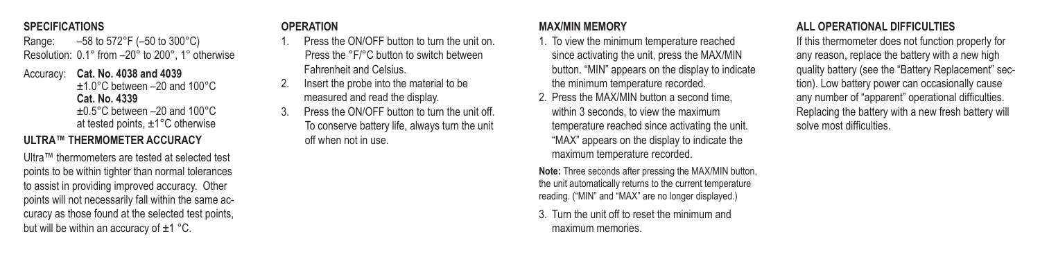#### **SPECIFICATIONS**

Range: –58 to 572°F (–50 to 300°C) Resolution: 0.1° from –20° to 200°, 1° otherwise

Accuracy: **Cat. No. 4038 and 4039** ±1.0°C between –20 and 100°C **Cat. No. 4339** ±0.5°C between –20 and 100°C at tested points, ±1°C otherwise

## **ULTRA™ THERMOMETER ACCURACY**

Ultra™ thermometers are tested at selected test points to be within tighter than normal tolerances to assist in providing improved accuracy. Other points will not necessarily fall within the same accuracy as those found at the selected test points, but will be within an accuracy of  $\pm 1$  °C.

## **OPERATION**

- Press the ON/OFF button to turn the unit on. Press the °F/°C button to switch between Fahrenheit and Celsius.
- 2. Insert the probe into the material to be measured and read the display.
- Press the ON/OFF button to turn the unit off. To conserve battery life, always turn the unit off when not in use.

#### **MAX/MIN MEMORY**

- 1. To view the minimum temperature reached since activating the unit, press the MAX/MIN button. "MIN" appears on the display to indicate the minimum temperature recorded.
- 2. Press the MAX/MIN button a second time, within 3 seconds, to view the maximum temperature reached since activating the unit. "MAX" appears on the display to indicate the maximum temperature recorded.

**Note:** Three seconds after pressing the MAX/MIN button, the unit automatically returns to the current temperature reading. ("MIN" and "MAX" are no longer displayed.)

3. Turn the unit off to reset the minimum and maximum memories.

### **ALL OPERATIONAL DIFFICULTIES**

If this thermometer does not function properly for any reason, replace the battery with a new high quality battery (see the "Battery Replacement" section). Low battery power can occasionally cause any number of "apparent" operational difficulties. Replacing the battery with a new fresh battery will solve most difficulties.